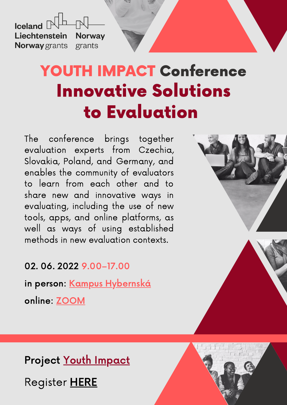$I$ celand  $\Box$ Liechtenstein **Norway Norway** grants grants

# YOUTH IMPACT Conference Innovative Solutions to Evaluation

The conference brings together evaluation experts from Czechia, Slovakia, Poland, and Germany, and enables the community of evaluators to learn from each other and to share new and innovative ways in evaluating, including the use of new tools, apps, and online platforms, as well as ways of using established methods in new evaluation contexts.

02. 06. 2022 9.00–17.00

in person: <u>Kampus [Hybernská](http://www.kampushybernska.cz/)</u>

online: [ZOOM](https://us06web.zoom.us/j/83760347678?pwd=NERHL21IWEM5WUZlOTU1RlBsbDFOZz09)



# Project Youth [Impact](https://youth-impact.eu/)

Register [HERE](https://forms.gle/Sep7iTcP8Fyg2SgU9)